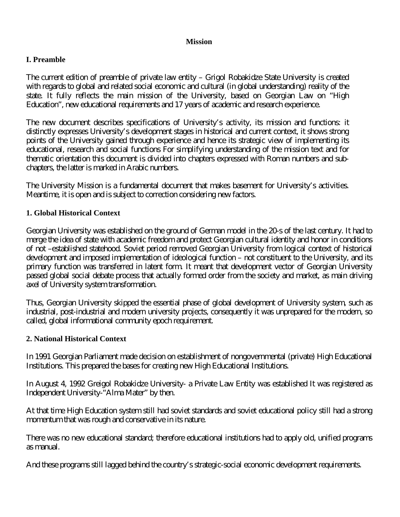#### **Mission**

## **I. Preamble**

The current edition of preamble of private law entity – Grigol Robakidze State University is created with regards to global and related social economic and cultural (in global understanding) reality of the state. It fully reflects the main mission of the University, based on Georgian Law on "High Education", new educational requirements and 17 years of academic and research experience.

The new document describes specifications of University's activity, its mission and functions: it distinctly expresses University's development stages in historical and current context, it shows strong points of the University gained through experience and hence its strategic view of implementing its educational, research and social functions For simplifying understanding of the mission text and for thematic orientation this document is divided into chapters expressed with Roman numbers and subchapters, the latter is marked in Arabic numbers.

The University Mission is a fundamental document that makes basement for University's activities. Meantime, it is open and is subject to correction considering new factors.

## **1. Global Historical Context**

Georgian University was established on the ground of German model in the 20-s of the last century. It had to merge the idea of state with academic freedom and protect Georgian cultural identity and honor in conditions of not –established statehood. Soviet period removed Georgian University from logical context of historical development and imposed implementation of ideological function – not constituent to the University, and its primary function was transferred in latent form. It meant that development vector of Georgian University passed global social debate process that actually formed order from the society and market, as main driving axel of University system transformation.

Thus, Georgian University skipped the essential phase of global development of University system, such as industrial, post-industrial and modern university projects, consequently it was unprepared for the modern, so called, global informational community epoch requirement.

#### **2. National Historical Context**

In 1991 Georgian Parliament made decision on establishment of nongovernmental (private) High Educational Institutions. This prepared the bases for creating new High Educational Institutions.

In August 4, 1992 Greigol Robakidze University- a Private Law Entity was established It was registered as Independent University-"Alma Mater" by then.

At that time High Education system still had soviet standards and soviet educational policy still had a strong momentum that was rough and conservative in its nature.

There was no new educational standard; therefore educational institutions had to apply old, unified programs as manual.

And these programs still lagged behind the country's strategic-social economic development requirements.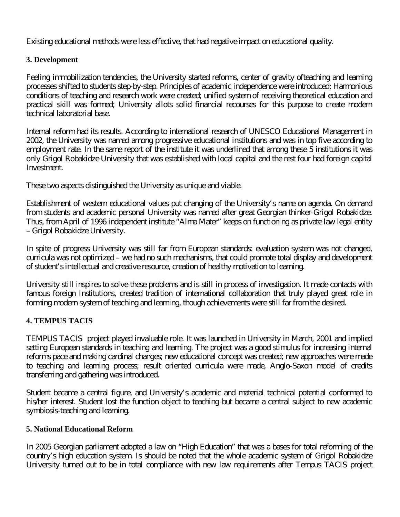Existing educational methods were less effective, that had negative impact on educational quality.

# **3. Development**

Feeling immobilization tendencies, the University started reforms, center of gravity ofteaching and learning processes shifted to students step-by-step. Principles of academic independence were introduced; Harmonious conditions of teaching and research work were created; unified system of receiving theoretical education and practical skill was formed; University allots solid financial recourses for this purpose to create modern technical laboratorial base.

Internal reform had its results. According to international research of UNESCO Educational Management in 2002, the University was named among progressive educational institutions and was in top five according to employment rate. In the same report of the institute it was underlined that among these 5 institutions it was only Grigol Robakidze University that was established with local capital and the rest four had foreign capital Investment.

These two aspects distinguished the University as unique and viable.

Establishment of western educational values put changing of the University's name on agenda. On demand from students and academic personal University was named after great Georgian thinker-Grigol Robakidze. Thus, from April of 1996 independent institute "Alma Mater" keeps on functioning as private law legal entity – Grigol Robakidze University.

In spite of progress University was still far from European standards: evaluation system was not changed, curricula was not optimized – we had no such mechanisms, that could promote total display and development of student's intellectual and creative resource, creation of healthy motivation to learning.

University still inspires to solve these problems and is still in process of investigation. It made contacts with famous foreign Institutions, created tradition of international collaboration that truly played great role in forming modern system of teaching and learning, though achievements were still far from the desired.

## **4. TEMPUS TACIS**

TEMPUS TACIS project played invaluable role. It was launched in University in March, 2001 and implied setting European standards in teaching and learning. The project was a good stimulus for increasing internal reforms pace and making cardinal changes; new educational concept was created; new approaches were made to teaching and learning process; result oriented curricula were made, Anglo-Saxon model of credits transferring and gathering was introduced.

Student became a central figure, and University's academic and material technical potential conformed to his/her interest. Student lost the function object to teaching but became a central subject to new academic symbiosis-teaching and learning.

## **5. National Educational Reform**

In 2005 Georgian parliament adopted a law on "High Education" that was a bases for total reforming of the country's high education system. Is should be noted that the whole academic system of Grigol Robakidze University turned out to be in total compliance with new law requirements after Tempus TACIS project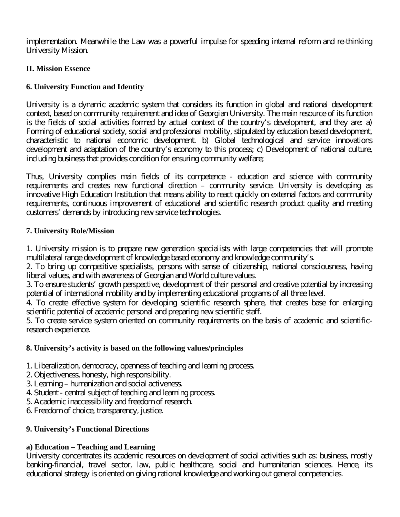implementation. Meanwhile the Law was a powerful impulse for speeding internal reform and re-thinking University Mission.

# **II. Mission Essence**

# **6. University Function and Identity**

University is a dynamic academic system that considers its function in global and national development context, based on community requirement and idea of Georgian University. The main resource of its function is the fields of social activities formed by actual context of the country's development, and they are: a) Forming of educational society, social and professional mobility, stipulated by education based development, characteristic to national economic development. b) Global technological and service innovations development and adaptation of the country's economy to this process; c) Development of national culture, including business that provides condition for ensuring community welfare;

Thus, University complies main fields of its competence - education and science with community requirements and creates new functional direction – community service. University is developing as innovative High Education Institution that means ability to react quickly on external factors and community requirements, continuous improvement of educational and scientific research product quality and meeting customers' demands by introducing new service technologies.

## **7. University Role/Mission**

1. University mission is to prepare new generation specialists with large competencies that will promote multilateral range development of knowledge based economy and knowledge community's.

2. To bring up competitive specialists, persons with sense of citizenship, national consciousness, having liberal values, and with awareness of Georgian and World culture values.

3. To ensure students' growth perspective, development of their personal and creative potential by increasing potential of international mobility and by implementing educational programs of all three level.

4. To create effective system for developing scientific research sphere, that creates base for enlarging scientific potential of academic personal and preparing new scientific staff.

5. To create service system oriented on community requirements on the basis of academic and scientificresearch experience.

## **8. University's activity is based on the following values/principles**

- 1. Liberalization, democracy, openness of teaching and learning process.
- 2. Objectiveness, honesty, high responsibility.
- 3. Learning humanization and social activeness.
- 4. Student central subject of teaching and learning process.
- 5. Academic inaccessibility and freedom of research.
- 6. Freedom of choice, transparency, justice.

## **9. University's Functional Directions**

## **a) Education – Teaching and Learning**

University concentrates its academic resources on development of social activities such as: business, mostly banking-financial, travel sector, law, public healthcare, social and humanitarian sciences. Hence, its educational strategy is oriented on giving rational knowledge and working out general competencies.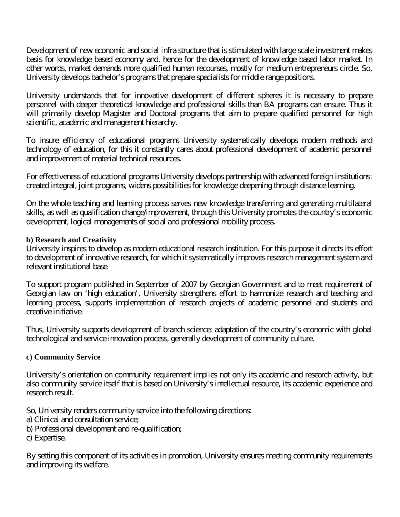Development of new economic and social infra structure that is stimulated with large scale investment makes basis for knowledge based economy and, hence for the development of knowledge based labor market. In other words, market demands more qualified human recourses, mostly for medium entrepreneurs circle. So, University develops bachelor's programs that prepare specialists for middle range positions.

University understands that for innovative development of different spheres it is necessary to prepare personnel with deeper theoretical knowledge and professional skills than BA programs can ensure. Thus it will primarily develop Magister and Doctoral programs that aim to prepare qualified personnel for high scientific, academic and management hierarchy.

To insure efficiency of educational programs University systematically develops modern methods and technology of education, for this it constantly cares about professional development of academic personnel and improvement of material technical resources.

For effectiveness of educational programs University develops partnership with advanced foreign institutions: created integral, joint programs, widens possibilities for knowledge deepening through distance learning.

On the whole teaching and learning process serves new knowledge transferring and generating multilateral skills, as well as qualification change/improvement, through this University promotes the country's economic development, logical managements of social and professional mobility process.

#### **b) Research and Creativity**

University inspires to develop as modern educational research institution. For this purpose it directs its effort to development of innovative research, for which it systematically improves research management system and relevant institutional base.

To support program published in September of 2007 by Georgian Government and to meet requirement of Georgian law on 'high education', University strengthens effort to harmonize research and teaching and learning process, supports implementation of research projects of academic personnel and students and creative initiative.

Thus, University supports development of branch science; adaptation of the country's economic with global technological and service innovation process, generally development of community culture.

#### **c) Community Service**

University's orientation on community requirement implies not only its academic and research activity, but also community service itself that is based on University's intellectual resource, its academic experience and research result.

So, University renders community service into the following directions:

a) Clinical and consultation service;

b) Professional development and re-qualification;

c) Expertise.

By setting this component of its activities in promotion, University ensures meeting community requirements and improving its welfare.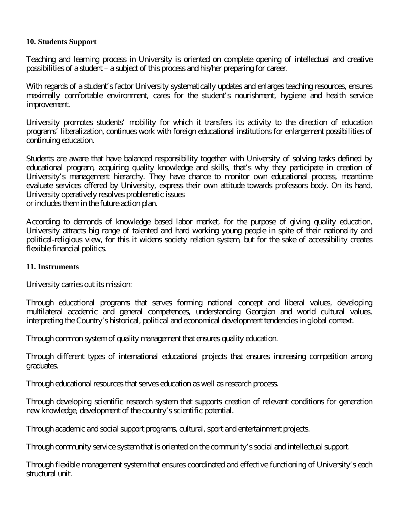#### **10. Students Support**

Teaching and learning process in University is oriented on complete opening of intellectual and creative possibilities of a student – a subject of this process and his/her preparing for career.

With regards of a student's factor University systematically updates and enlarges teaching resources, ensures maximally comfortable environment, cares for the student's nourishment, hygiene and health service improvement.

University promotes students' mobility for which it transfers its activity to the direction of education programs' liberalization, continues work with foreign educational institutions for enlargement possibilities of continuing education.

Students are aware that have balanced responsibility together with University of solving tasks defined by educational program, acquiring quality knowledge and skills, that's why they participate in creation of University's management hierarchy. They have chance to monitor own educational process, meantime evaluate services offered by University, express their own attitude towards professors body. On its hand, University operatively resolves problematic issues or includes them in the future action plan.

According to demands of knowledge based labor market, for the purpose of giving quality education, University attracts big range of talented and hard working young people in spite of their nationality and political-religious view, for this it widens society relation system, but for the sake of accessibility creates flexible financial politics.

#### **11. Instruments**

University carries out its mission:

Through educational programs that serves forming national concept and liberal values, developing multilateral academic and general competences, understanding Georgian and world cultural values, interpreting the Country's historical, political and economical development tendencies in global context.

Through common system of quality management that ensures quality education.

Through different types of international educational projects that ensures increasing competition among graduates.

Through educational resources that serves education as well as research process.

Through developing scientific research system that supports creation of relevant conditions for generation new knowledge, development of the country's scientific potential.

Through academic and social support programs, cultural, sport and entertainment projects.

Through community service system that is oriented on the community's social and intellectual support.

Through flexible management system that ensures coordinated and effective functioning of University's each structural unit.